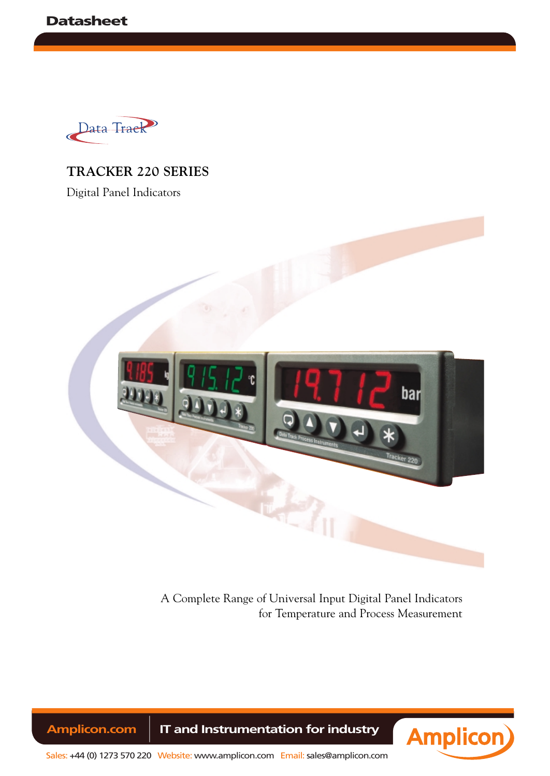

## **TRACKER 220 SERIES**

Digital Panel Indicators



A Complete Range of Universal Input Digital Panel Indicators for Temperature and Process Measurement

Amplicon.com | IT and Instrumentation for industry

**Amplicon** 

Sales: +44 (0) 1273 570 220 Website: www.amplicon.com Email: sales@amplicon.com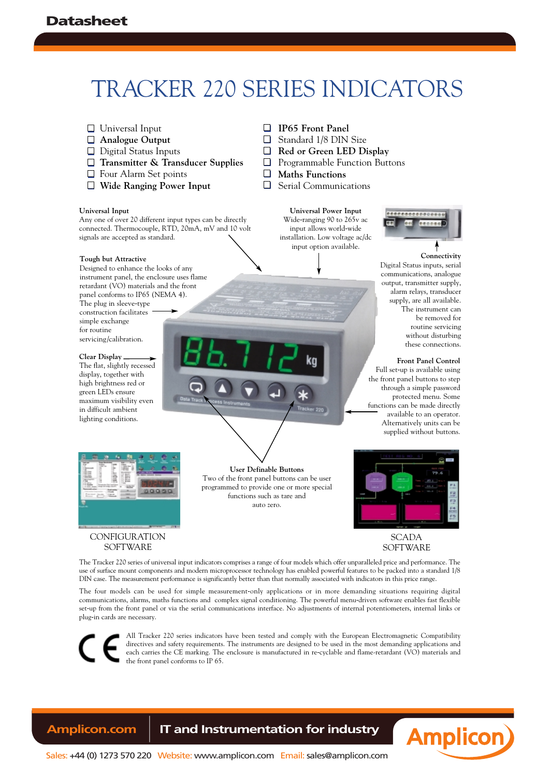# TRACKER 220 SERIES INDICATORS

- □ Universal Input **Analogue Output**
- $\Box$  Digital Status Inputs
- **Transmitter & Transducer Supplies**
- □ Four Alarm Set points
- **Wide Ranging Power Input**

#### **Universal Input**

Any one of over 20 different input types can be directly connected. Thermocouple, RTD, 20mA, mV and 10 volt signals are accepted as standard.

#### **Tough but Attractive**

Designed to enhance the looks of any instrument panel, the enclosure uses flame retardant  $(VO)$  materials and the front panel conforms to IP65 (NEMA 4). The plug in sleeve-type construction facilitates simple exchange for routine servicing/calibration.

#### **Clear Display**

The flat, slightly recessed display, together with high brightness red or green LEDs ensure maximum visibility even in difficult ambient lighting conditions.

**IP65 Front Panel**  $\Box$ Standard 1/8 DIN Size  $\Box$ **Red or Green LED Display**

- $\Box$ Programmable Function Buttons
- $\Box$ **Maths Functions**

 $\Box$ Serial Communications

> **Universal Power Input** Wide-ranging 90 to 265v ac input allows world-wide installation. Low voltage ac/dc input option available.



**Connectivity** Digital Status inputs, serial communications, analogue output, transmitter supply, alarm relays, transducer supply, are all available. The instrument can be removed for routine servicing without disturbing these connections.

**Front Panel Control**

Full set-up is available using the front panel buttons to step through a simple password protected menu. Some functions can be made directly available to an operator. Alternatively units can be supplied without buttons.



### **CONFIGURATION** SOFTWARE

**User Definable Buttons** Two of the front panel buttons can be user programmed to provide one or more special functions such as tare and auto zero.



SCADA SOFTWARE

The Tracker 220 series of universal input indicators comprises a range of four models which offer unparalleled price and performance. The use of surface mount components and modern microprocessor technology has enabled powerful features to be packed into a standard 1/8 DIN case. The measurement performance is significantly better than that normally associated with indicators in this price range.

The four models can be used for simple measurement-only applications or in more demanding situations requiring digital communications, alarms, maths functions and complex signal conditioning. The powerful menu-driven software enables fast flexible set-up from the front panel or via the serial communications interface. No adjustments of internal potentiometers, internal links or plug-in cards are necessary.

All Tracker 220 series indicators have been tested and comply with the European Electromagnetic Compatibility directives and safety requirements. The instruments are designed to be used in the most demanding applications and each carries the CE marking. The enclosure is manufactured in re-cyclable and flame-retardant (VO) materials and the front panel conforms to IP 65.

## **Amplicon.com | IT and Instrumentation for industry**



Sales: +44 (0) 1273 570 220 Website: www.amplicon.com Email: sales@amplicon.com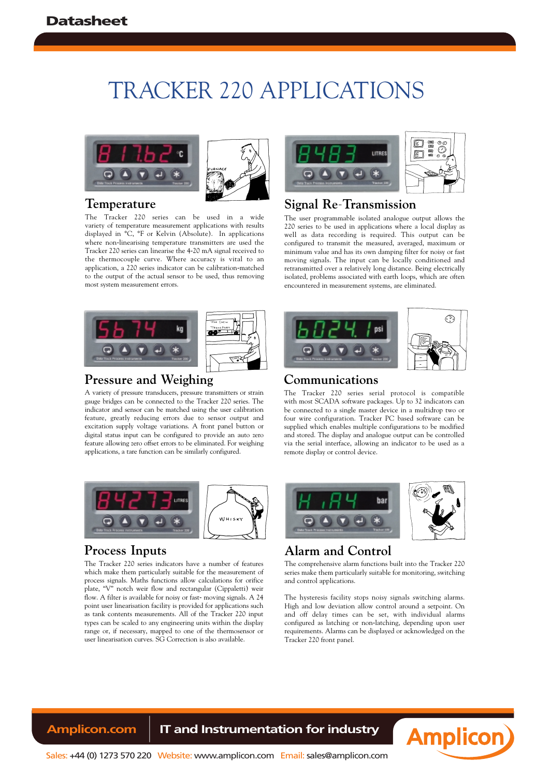## TRACKER 220 APPLICATIONS





### **Temperature**

The Tracker 220 series can be used in a wide variety of temperature measurement applications with results displayed in °C, °F or Kelvin (Absolute). In applications where non-linearising temperature transmitters are used the Tracker 220 series can linearise the 4-20 mA signal received to the thermocouple curve. Where accuracy is vital to an application, a 220 series indicator can be calibration-matched to the output of the actual sensor to be used, thus removing most system measurement errors.



## **Signal Re**-**Transmission**

The user programmable isolated analogue output allows the 220 series to be used in applications where a local display as well as data recording is required. This output can be configured to transmit the measured, averaged, maximum or minimum value and has its own damping filter for noisy or fast moving signals. The input can be locally conditioned and retransmitted over a relatively long distance. Being electrically isolated, problems associated with earth loops, which are often encountered in measurement systems, are eliminated.



## **Pressure and Weighing**

A variety of pressure transducers, pressure transmitters or strain gauge bridges can be connected to the Tracker 220 series. The indicator and sensor can be matched using the user calibration feature, greatly reducing errors due to sensor output and excitation supply voltage variations. A front panel button or digital status input can be configured to provide an auto zero feature allowing zero offset errors to be eliminated. For weighing applications, a tare function can be similarly configured.



## **Process Inputs**

The Tracker 220 series indicators have a number of features which make them particularly suitable for the measurement of process signals. Maths functions allow calculations for orifice plate, "V" notch weir flow and rectangular (Cippaletti) weir flow. A filter is available for noisy or fast- moving signals. A 24 point user linearisation facility is provided for applications such as tank contents measurements. All of the Tracker 220 input types can be scaled to any engineering units within the display range or, if necessary, mapped to one of the thermosensor or user linearisation curves. SG Correction is also available.



## **Communications**

The Tracker 220 series serial protocol is compatible with most SCADA software packages. Up to 32 indicators can be connected to a single master device in a multidrop two or four wire configuration. Tracker PC based software can be supplied which enables multiple configurations to be modified and stored. The display and analogue output can be controlled via the serial interface, allowing an indicator to be used as a remote display or control device.



## **Alarm and Control**

The comprehensive alarm functions built into the Tracker 220 series make them particularly suitable for monitoring, switching and control applications.

The hysteresis facility stops noisy signals switching alarms. High and low deviation allow control around a setpoint. On and off delay times can be set, with individual alarms configured as latching or non-latching, depending upon user requirements. Alarms can be displayed or acknowledged on the Tracker 220 front panel.

## Amplicon.com | IT and Instrumentation for industry

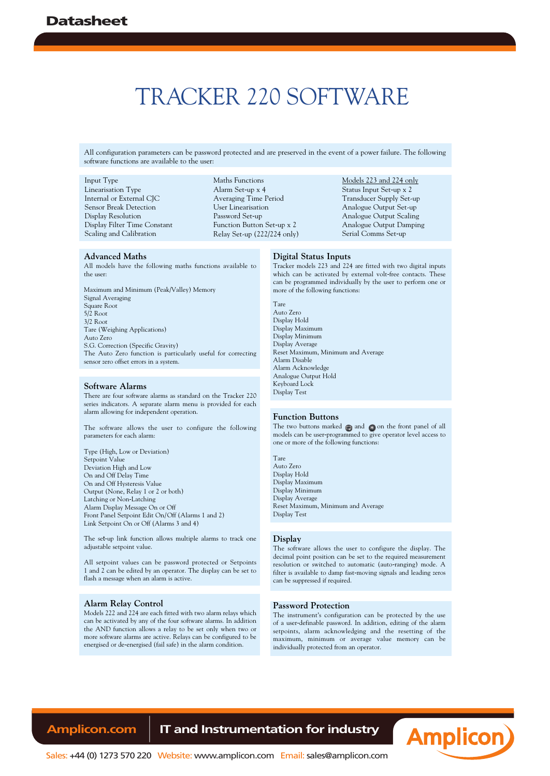## TRACKER 220 SOFTWARE

All configuration parameters can be password protected and are preserved in the event of a power failure. The following software functions are available to the user:

#### Input Type

Linearisation Type Internal or External CJC Sensor Break Detection Display Resolution Display Filter Time Constant Scaling and Calibration

Maths Functions Alarm Set-up x 4 Averaging Time Period User Linearisation Password Set-up Function Button Set-up x 2 Relay Set-up (222/224 only)

#### Models 223 and 224 only Status Input Set-up x 2 Transducer Supply Set-up Analogue Output Set-up Analogue Output Scaling Analogue Output Damping Serial Comms Set-up

#### **Advanced Maths**

All models have the following maths functions available to the user:

Maximum and Minimum (Peak/Valley) Memory Signal Averaging Square Root 5/2 Root 3/2 Root Tare (Weighing Applications) Auto Zero S.G. Correction (Specific Gravity) The Auto Zero function is particularly useful for correcting sensor zero offset errors in a system.

#### **Software Alarms**

There are four software alarms as standard on the Tracker 220 series indicators. A separate alarm menu is provided for each alarm allowing for independent operation.

The software allows the user to configure the following parameters for each alarm:

Type (High, Low or Deviation) Setpoint Value Deviation High and Low On and Off Delay Time On and Off Hysteresis Value Output (None, Relay 1 or 2 or both) Latching or Non-Latching Alarm Display Message On or Off Front Panel Setpoint Edit On/Off (Alarms 1 and 2) Link Setpoint On or Off (Alarms 3 and 4)

The set-up link function allows multiple alarms to track one adjustable setpoint value.

All setpoint values can be password protected or Setpoints 1 and 2 can be edited by an operator. The display can be set to flash a message when an alarm is active.

#### **Alarm Relay Control**

Models 222 and 224 are each fitted with two alarm relays which can be activated by any of the four software alarms. In addition the AND function allows a relay to be set only when two or more software alarms are active. Relays can be configured to be energised or de-energised (fail safe) in the alarm condition.

#### **Digital Status Inputs**

Tracker models 223 and 224 are fitted with two digital inputs which can be activated by external volt-free contacts. These can be programmed individually by the user to perform one or more of the following functions:

Tare Auto Zero Display Hold Display Maximum Display Minimum Display Average Reset Maximum, Minimum and Average Alarm Disable Alarm Acknowledge Analogue Output Hold Keyboard Lock Display Test

#### **Function Buttons**

The two buttons marked  $\bigcap$  and  $\bigcap$  on the front panel of all models can be user-programmed to give operator level access to one or more of the following functions:

#### Tare Auto Zero Display Hold Display Maximum

Display Minimum Display Average Reset Maximum, Minimum and Average Display Test

#### **Display**

The software allows the user to configure the display. The decimal point position can be set to the required measurement resolution or switched to automatic (auto-ranging) mode. A filter is available to damp fast-moving signals and leading zeros can be suppressed if required.

#### **Password Protection**

The instrument's configuration can be protected by the use of a user-definable password. In addition, editing of the alarm setpoints, alarm acknowledging and the resetting of the maximum, minimum or average value memory can be individually protected from an operator.

## **Amplicon.com | IT and Instrumentation for industry**



Sales: +44 (0) 1273 570 220 Website: www.amplicon.com Email: sales@amplicon.com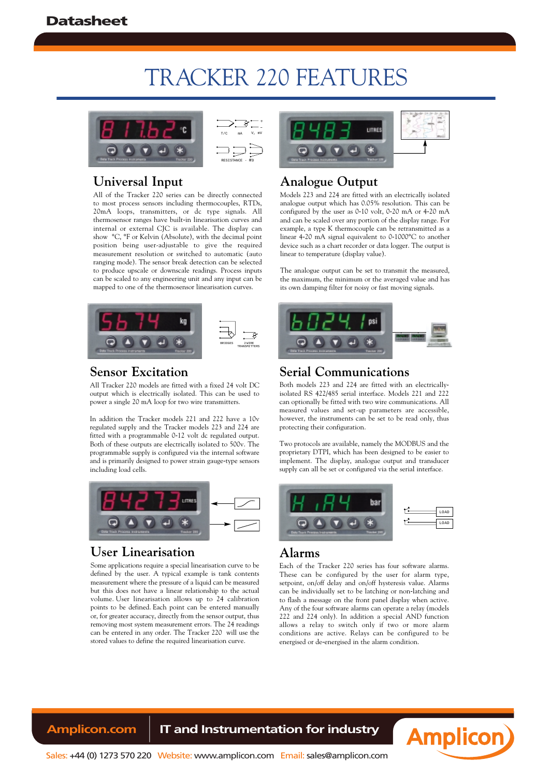## TRACKER 220 FEATURES



## **Universal Input**

All of the Tracker 220 series can be directly connected to most process sensors including thermocouples, RTDs, 20mA loops, transmitters, or dc type signals. All thermosensor ranges have built-in linearisation curves and internal or external CJC is available. The display can show °C, °F or Kelvin (Absolute), with the decimal point position being user-adjustable to give the required measurement resolution or switched to automatic (auto ranging mode). The sensor break detection can be selected to produce upscale or downscale readings. Process inputs can be scaled to any engineering unit and any input can be mapped to one of the thermosensor linearisation curves.



## **Sensor Excitation**

All Tracker 220 models are fitted with a fixed 24 volt DC output which is electrically isolated. This can be used to power a single 20 mA loop for two wire transmitters.

In addition the Tracker models 221 and 222 have a 10v regulated supply and the Tracker models 223 and 224 are fitted with a programmable 0-12 volt dc regulated output. Both of these outputs are electrically isolated to 500v. The programmable supply is configured via the internal software and is primarily designed to power strain gauge-type sensors including load cells.



## **User Linearisation**

Some applications require a special linearisation curve to be defined by the user. A typical example is tank contents measurement where the pressure of a liquid can be measured but this does not have a linear relationship to the actual volume. User linearisation allows up to 24 calibration points to be defined. Each point can be entered manually or, for greater accuracy, directly from the sensor output, thus removing most system measurement errors. The 24 readings can be entered in any order. The Tracker 220 will use the stored values to define the required linearisation curve.



## **Analogue Output**

Models 223 and 224 are fitted with an electrically isolated analogue output which has 0.05% resolution. This can be configured by the user as 0-10 volt, 0-20 mA or 4-20 mA and can be scaled over any portion of the display range. For example, a type K thermocouple can be retransmitted as a linear 4-20 mA signal equivalent to 0-1000°C to another device such as a chart recorder or data logger. The output is linear to temperature (display value).

The analogue output can be set to transmit the measured, the maximum, the minimum or the averaged value and has its own damping filter for noisy or fast moving signals.



## **Serial Communications**

Both models 223 and 224 are fitted with an electricallyisolated RS 422/485 serial interface. Models 221 and 222 can optionally be fitted with two wire communications. All measured values and set-up parameters are accessible, however, the instruments can be set to be read only, thus protecting their configuration.

Two protocols are available, namely the MODBUS and the proprietary DTPI, which has been designed to be easier to implement. The display, analogue output and transducer supply can all be set or configured via the serial interface.



## **Alarms**

Each of the Tracker 220 series has four software alarms. These can be configured by the user for alarm type, setpoint, on/off delay and on/off hysteresis value. Alarms can be individually set to be latching or non-latching and to flash a message on the front panel display when active. Any of the four software alarms can operate a relay (models 222 and 224 only). In addition a special AND function allows a relay to switch only if two or more alarm conditions are active. Relays can be configured to be energised or de-energised in the alarm condition.

## **Amplicon.com | IT and Instrumentation for industry**